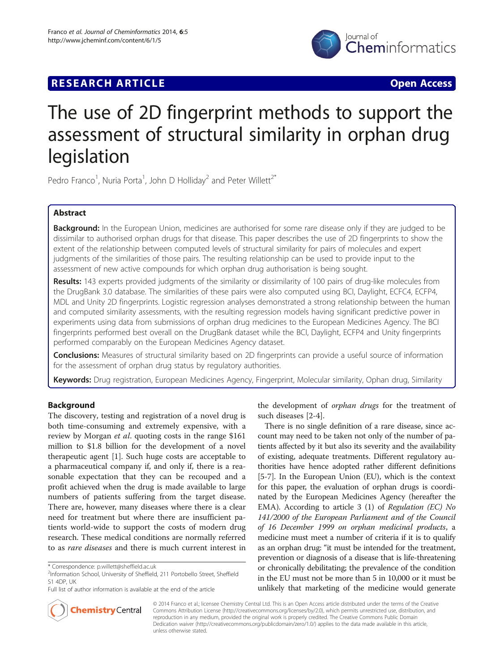# lournal of Cheminformatics

# **RESEARCH ARTICLE Example 2014 12:30 The Contract of Contract ACCESS**

# The use of 2D fingerprint methods to support the assessment of structural similarity in orphan drug legislation

Pedro Franco<sup>1</sup>, Nuria Porta<sup>1</sup>, John D Holliday<sup>2</sup> and Peter Willett<sup>2\*</sup>

# Abstract

Background: In the European Union, medicines are authorised for some rare disease only if they are judged to be dissimilar to authorised orphan drugs for that disease. This paper describes the use of 2D fingerprints to show the extent of the relationship between computed levels of structural similarity for pairs of molecules and expert judgments of the similarities of those pairs. The resulting relationship can be used to provide input to the assessment of new active compounds for which orphan drug authorisation is being sought.

**Results:** 143 experts provided judgments of the similarity or dissimilarity of 100 pairs of drug-like molecules from the DrugBank 3.0 database. The similarities of these pairs were also computed using BCI, Daylight, ECFC4, ECFP4, MDL and Unity 2D fingerprints. Logistic regression analyses demonstrated a strong relationship between the human and computed similarity assessments, with the resulting regression models having significant predictive power in experiments using data from submissions of orphan drug medicines to the European Medicines Agency. The BCI fingerprints performed best overall on the DrugBank dataset while the BCI, Daylight, ECFP4 and Unity fingerprints performed comparably on the European Medicines Agency dataset.

**Conclusions:** Measures of structural similarity based on 2D fingerprints can provide a useful source of information for the assessment of orphan drug status by regulatory authorities.

Keywords: Drug registration, European Medicines Agency, Fingerprint, Molecular similarity, Ophan drug, Similarity

# Background

The discovery, testing and registration of a novel drug is both time-consuming and extremely expensive, with a review by Morgan *et al.* quoting costs in the range \$161 million to \$1.8 billion for the development of a novel therapeutic agent [\[1](#page-8-0)]. Such huge costs are acceptable to a pharmaceutical company if, and only if, there is a reasonable expectation that they can be recouped and a profit achieved when the drug is made available to large numbers of patients suffering from the target disease. There are, however, many diseases where there is a clear need for treatment but where there are insufficient patients world-wide to support the costs of modern drug research. These medical conditions are normally referred to as rare diseases and there is much current interest in

the development of orphan drugs for the treatment of such diseases [[2-4](#page-8-0)].

There is no single definition of a rare disease, since account may need to be taken not only of the number of patients affected by it but also its severity and the availability of existing, adequate treatments. Different regulatory authorities have hence adopted rather different definitions [[5-7\]](#page-8-0). In the European Union (EU), which is the context for this paper, the evaluation of orphan drugs is coordinated by the European Medicines Agency (hereafter the EMA). According to article 3 (1) of Regulation (EC) No 141/2000 of the European Parliament and of the Council of 16 December 1999 on orphan medicinal products, a medicine must meet a number of criteria if it is to qualify as an orphan drug: "it must be intended for the treatment, prevention or diagnosis of a disease that is life-threatening or chronically debilitating; the prevalence of the condition in the EU must not be more than 5 in 10,000 or it must be unlikely that marketing of the medicine would generate



© 2014 Franco et al.; licensee Chemistry Central Ltd. This is an Open Access article distributed under the terms of the Creative Commons Attribution License (<http://creativecommons.org/licenses/by/2.0>), which permits unrestricted use, distribution, and reproduction in any medium, provided the original work is properly credited. The Creative Commons Public Domain Dedication waiver (<http://creativecommons.org/publicdomain/zero/1.0/>) applies to the data made available in this article, unless otherwise stated.

<sup>\*</sup> Correspondence: [p.willett@sheffield.ac.uk](mailto:p.willett@sheffield.ac.uk) <sup>2</sup>

<sup>&</sup>lt;sup>2</sup>Information School, University of Sheffield, 211 Portobello Street, Sheffield S1 4DP, UK

Full list of author information is available at the end of the article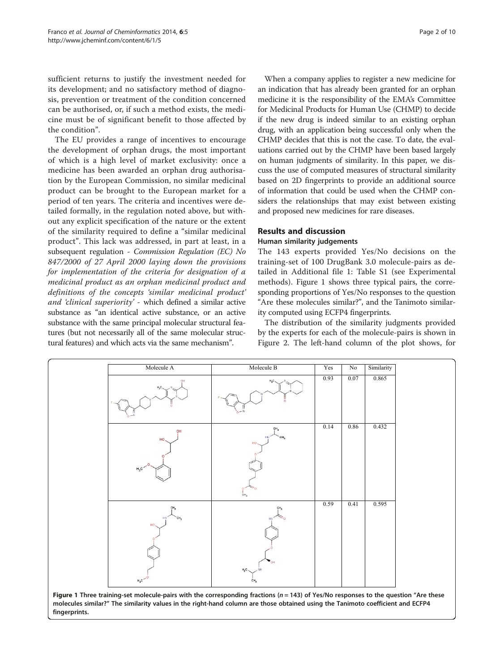<span id="page-1-0"></span>sufficient returns to justify the investment needed for its development; and no satisfactory method of diagnosis, prevention or treatment of the condition concerned can be authorised, or, if such a method exists, the medicine must be of significant benefit to those affected by the condition".

The EU provides a range of incentives to encourage the development of orphan drugs, the most important of which is a high level of market exclusivity: once a medicine has been awarded an orphan drug authorisation by the European Commission, no similar medicinal product can be brought to the European market for a period of ten years. The criteria and incentives were detailed formally, in the regulation noted above, but without any explicit specification of the nature or the extent of the similarity required to define a "similar medicinal product". This lack was addressed, in part at least, in a subsequent regulation - Commission Regulation (EC) No 847/2000 of 27 April 2000 laying down the provisions for implementation of the criteria for designation of a medicinal product as an orphan medicinal product and definitions of the concepts 'similar medicinal product' and 'clinical superiority' - which defined a similar active substance as "an identical active substance, or an active substance with the same principal molecular structural features (but not necessarily all of the same molecular structural features) and which acts via the same mechanism".

When a company applies to register a new medicine for an indication that has already been granted for an orphan medicine it is the responsibility of the EMA's Committee for Medicinal Products for Human Use (CHMP) to decide if the new drug is indeed similar to an existing orphan drug, with an application being successful only when the CHMP decides that this is not the case. To date, the evaluations carried out by the CHMP have been based largely on human judgments of similarity. In this paper, we discuss the use of computed measures of structural similarity based on 2D fingerprints to provide an additional source of information that could be used when the CHMP considers the relationships that may exist between existing and proposed new medicines for rare diseases.

### Results and discussion

#### Human similarity judgements

The 143 experts provided Yes/No decisions on the training-set of 100 DrugBank 3.0 molecule-pairs as detailed in Additional file [1:](#page-8-0) Table S1 (see [Experimental](#page-5-0) [methods\)](#page-5-0). Figure 1 shows three typical pairs, the corresponding proportions of Yes/No responses to the question "Are these molecules similar?", and the Tanimoto similarity computed using ECFP4 fingerprints.

The distribution of the similarity judgments provided by the experts for each of the molecule-pairs is shown in Figure [2.](#page-2-0) The left-hand column of the plot shows, for



molecules similar?" The similarity values in the right-hand column are those obtained using the Tanimoto coefficient and ECFP4 fingerprints.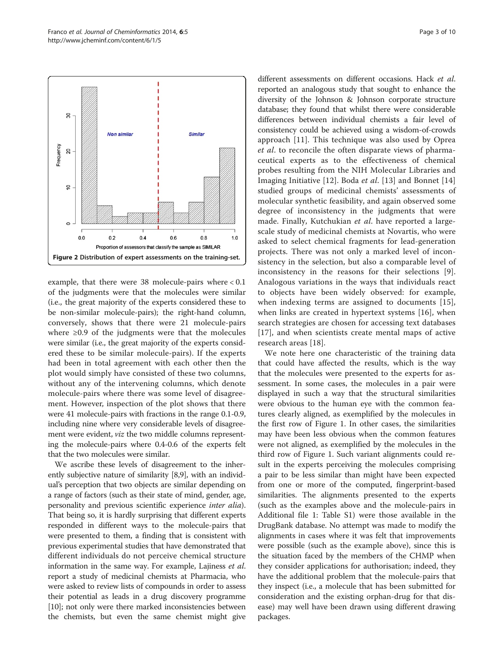<span id="page-2-0"></span>

example, that there were 38 molecule-pairs where < 0.1 of the judgments were that the molecules were similar (i.e., the great majority of the experts considered these to be non-similar molecule-pairs); the right-hand column, conversely, shows that there were 21 molecule-pairs where ≥0.9 of the judgments were that the molecules were similar (i.e., the great majority of the experts considered these to be similar molecule-pairs). If the experts had been in total agreement with each other then the plot would simply have consisted of these two columns, without any of the intervening columns, which denote molecule-pairs where there was some level of disagreement. However, inspection of the plot shows that there were 41 molecule-pairs with fractions in the range 0.1-0.9, including nine where very considerable levels of disagreement were evident, viz the two middle columns representing the molecule-pairs where 0.4-0.6 of the experts felt that the two molecules were similar.

We ascribe these levels of disagreement to the inherently subjective nature of similarity [[8,9](#page-8-0)], with an individual's perception that two objects are similar depending on a range of factors (such as their state of mind, gender, age, personality and previous scientific experience inter alia). That being so, it is hardly surprising that different experts responded in different ways to the molecule-pairs that were presented to them, a finding that is consistent with previous experimental studies that have demonstrated that different individuals do not perceive chemical structure information in the same way. For example, Lajiness et al. report a study of medicinal chemists at Pharmacia, who were asked to review lists of compounds in order to assess their potential as leads in a drug discovery programme [[10](#page-8-0)]; not only were there marked inconsistencies between the chemists, but even the same chemist might give different assessments on different occasions. Hack et al. reported an analogous study that sought to enhance the diversity of the Johnson & Johnson corporate structure database; they found that whilst there were considerable differences between individual chemists a fair level of consistency could be achieved using a wisdom-of-crowds approach [\[11](#page-8-0)]. This technique was also used by Oprea et al. to reconcile the often disparate views of pharmaceutical experts as to the effectiveness of chemical probes resulting from the NIH Molecular Libraries and Imaging Initiative [[12\]](#page-8-0). Boda et al. [[13\]](#page-8-0) and Bonnet [\[14](#page-8-0)] studied groups of medicinal chemists' assessments of molecular synthetic feasibility, and again observed some degree of inconsistency in the judgments that were made. Finally, Kutchukian et al. have reported a largescale study of medicinal chemists at Novartis, who were asked to select chemical fragments for lead-generation projects. There was not only a marked level of inconsistency in the selection, but also a comparable level of inconsistency in the reasons for their selections [\[9](#page-8-0)]. Analogous variations in the ways that individuals react to objects have been widely observed: for example, when indexing terms are assigned to documents [[15](#page-8-0)], when links are created in hypertext systems [\[16](#page-8-0)], when search strategies are chosen for accessing text databases [[17](#page-8-0)], and when scientists create mental maps of active research areas [\[18](#page-8-0)].

We note here one characteristic of the training data that could have affected the results, which is the way that the molecules were presented to the experts for assessment. In some cases, the molecules in a pair were displayed in such a way that the structural similarities were obvious to the human eye with the common features clearly aligned, as exemplified by the molecules in the first row of Figure [1.](#page-1-0) In other cases, the similarities may have been less obvious when the common features were not aligned, as exemplified by the molecules in the third row of Figure [1](#page-1-0). Such variant alignments could result in the experts perceiving the molecules comprising a pair to be less similar than might have been expected from one or more of the computed, fingerprint-based similarities. The alignments presented to the experts (such as the examples above and the molecule-pairs in Additional file [1:](#page-8-0) Table S1) were those available in the DrugBank database. No attempt was made to modify the alignments in cases where it was felt that improvements were possible (such as the example above), since this is the situation faced by the members of the CHMP when they consider applications for authorisation; indeed, they have the additional problem that the molecule-pairs that they inspect (i.e., a molecule that has been submitted for consideration and the existing orphan-drug for that disease) may well have been drawn using different drawing packages.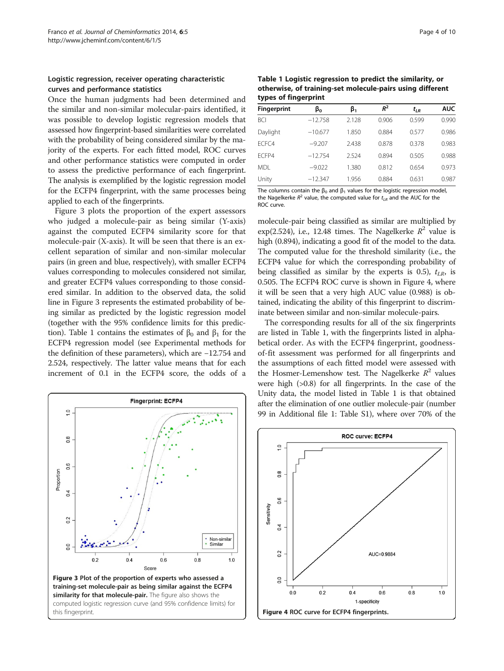#### <span id="page-3-0"></span>Logistic regression, receiver operating characteristic curves and performance statistics

Once the human judgments had been determined and the similar and non-similar molecular-pairs identified, it was possible to develop logistic regression models that assessed how fingerprint-based similarities were correlated with the probability of being considered similar by the majority of the experts. For each fitted model, ROC curves and other performance statistics were computed in order to assess the predictive performance of each fingerprint. The analysis is exemplified by the logistic regression model for the ECFP4 fingerprint, with the same processes being applied to each of the fingerprints.

Figure 3 plots the proportion of the expert assessors who judged a molecule-pair as being similar (Y-axis) against the computed ECFP4 similarity score for that molecule-pair (X-axis). It will be seen that there is an excellent separation of similar and non-similar molecular pairs (in green and blue, respectively), with smaller ECFP4 values corresponding to molecules considered not similar, and greater ECFP4 values corresponding to those considered similar. In addition to the observed data, the solid line in Figure 3 represents the estimated probability of being similar as predicted by the logistic regression model (together with the 95% confidence limits for this prediction). Table 1 contains the estimates of  $β_0$  and  $β_1$  for the ECFP4 regression model (see [Experimental methods](#page-5-0) for the definition of these parameters), which are −12.754 and 2.524, respectively. The latter value means that for each increment of 0.1 in the ECFP4 score, the odds of a



Table 1 Logistic regression to predict the similarity, or otherwise, of training-set molecule-pairs using different types of fingerprint

| <b>Fingerprint</b> | βo        | β,    | $R^2$ | $t_{LR}$ | <b>AUC</b> |
|--------------------|-----------|-------|-------|----------|------------|
| BCI                | $-12.758$ | 2.128 | 0.906 | 0.599    | 0.990      |
| Daylight           | $-10.677$ | 1.850 | 0.884 | 0.577    | 0.986      |
| ECFC4              | $-9.207$  | 2.438 | 0.878 | 0.378    | 0.983      |
| FCFP4              | $-12.754$ | 2.524 | 0.894 | 0.505    | 0.988      |
| MDL                | $-9.022$  | 1.380 | 0.812 | 0.654    | 0.973      |
| Unity              | $-12.347$ | 1.956 | 0.884 | 0.631    | 0.987      |

The columns contain the  $\beta_0$  and  $\beta_1$  values for the logistic regression model, the Nagelkerke  $R^2$  value, the computed value for  $t_{LR}$  and the AUC for the ROC curve.

molecule-pair being classified as similar are multiplied by exp(2.524), i.e., 12.48 times. The Nagelkerke  $R^2$  value is high (0.894), indicating a good fit of the model to the data. The computed value for the threshold similarity (i.e., the ECFP4 value for which the corresponding probability of being classified as similar by the experts is 0.5),  $t_{LR}$ , is 0.505. The ECFP4 ROC curve is shown in Figure 4, where it will be seen that a very high AUC value (0.988) is obtained, indicating the ability of this fingerprint to discriminate between similar and non-similar molecule-pairs.

The corresponding results for all of the six fingerprints are listed in Table 1, with the fingerprints listed in alphabetical order. As with the ECFP4 fingerprint, goodnessof-fit assessment was performed for all fingerprints and the assumptions of each fitted model were assessed with the Hosmer-Lemenshow test. The Nagelkerke  $R^2$  values were high (>0.8) for all fingerprints. In the case of the Unity data, the model listed in Table 1 is that obtained after the elimination of one outlier molecule-pair (number 99 in Additional file [1:](#page-8-0) Table S1), where over 70% of the

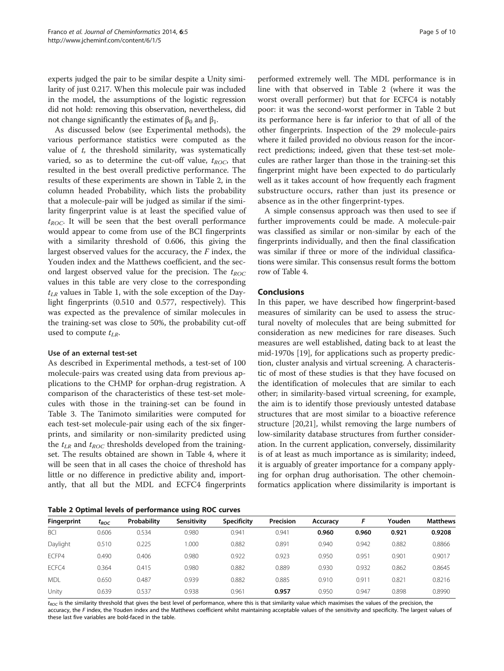experts judged the pair to be similar despite a Unity similarity of just 0.217. When this molecule pair was included in the model, the assumptions of the logistic regression did not hold: removing this observation, nevertheless, did not change significantly the estimates of  $β_0$  and  $β_1$ .

As discussed below (see [Experimental methods](#page-5-0)), the various performance statistics were computed as the value of  $t$ , the threshold similarity, was systematically varied, so as to determine the cut-off value,  $t_{ROC}$ , that resulted in the best overall predictive performance. The results of these experiments are shown in Table 2, in the column headed Probability, which lists the probability that a molecule-pair will be judged as similar if the similarity fingerprint value is at least the specified value of  $t_{ROC}$ . It will be seen that the best overall performance would appear to come from use of the BCI fingerprints with a similarity threshold of 0.606, this giving the largest observed values for the accuracy, the F index, the Youden index and the Matthews coefficient, and the second largest observed value for the precision. The  $t_{ROC}$ values in this table are very close to the corresponding  $t_{LR}$  values in Table [1](#page-3-0), with the sole exception of the Daylight fingerprints (0.510 and 0.577, respectively). This was expected as the prevalence of similar molecules in the training-set was close to 50%, the probability cut-off used to compute  $t_{LR}$ .

#### Use of an external test-set

As described in Experimental methods, a test-set of 100 molecule-pairs was created using data from previous applications to the CHMP for orphan-drug registration. A comparison of the characteristics of these test-set molecules with those in the training-set can be found in Table [3](#page-5-0). The Tanimoto similarities were computed for each test-set molecule-pair using each of the six fingerprints, and similarity or non-similarity predicted using the  $t_{LR}$  and  $t_{ROC}$  thresholds developed from the trainingset. The results obtained are shown in Table [4,](#page-5-0) where it will be seen that in all cases the choice of threshold has little or no difference in predictive ability and, importantly, that all but the MDL and ECFC4 fingerprints

Table 2 Optimal levels of performance using ROC curves

performed extremely well. The MDL performance is in line with that observed in Table 2 (where it was the worst overall performer) but that for ECFC4 is notably poor: it was the second-worst performer in Table 2 but its performance here is far inferior to that of all of the other fingerprints. Inspection of the 29 molecule-pairs where it failed provided no obvious reason for the incorrect predictions; indeed, given that these test-set molecules are rather larger than those in the training-set this fingerprint might have been expected to do particularly well as it takes account of how frequently each fragment substructure occurs, rather than just its presence or absence as in the other fingerprint-types.

A simple consensus approach was then used to see if further improvements could be made. A molecule-pair was classified as similar or non-similar by each of the fingerprints individually, and then the final classification was similar if three or more of the individual classifications were similar. This consensus result forms the bottom row of Table [4](#page-5-0).

#### Conclusions

In this paper, we have described how fingerprint-based measures of similarity can be used to assess the structural novelty of molecules that are being submitted for consideration as new medicines for rare diseases. Such measures are well established, dating back to at least the mid-1970s [[19\]](#page-8-0), for applications such as property prediction, cluster analysis and virtual screening. A characteristic of most of these studies is that they have focused on the identification of molecules that are similar to each other; in similarity-based virtual screening, for example, the aim is to identify those previously untested database structures that are most similar to a bioactive reference structure [[20,21](#page-8-0)], whilst removing the large numbers of low-similarity database structures from further consideration. In the current application, conversely, dissimilarity is of at least as much importance as is similarity; indeed, it is arguably of greater importance for a company applying for orphan drug authorisation. The other chemoinformatics application where dissimilarity is important is

| Fingerprint | $t_{ROC}$ | Probability | Sensitivity | <b>Specificity</b> | Precision | Accuracy |       | Youden | <b>Matthews</b> |
|-------------|-----------|-------------|-------------|--------------------|-----------|----------|-------|--------|-----------------|
| <b>BCI</b>  | 0.606     | 0.534       | 0.980       | 0.941              | 0.941     | 0.960    | 0.960 | 0.921  | 0.9208          |
| Daylight    | 0.510     | 0.225       | 1.000       | 0.882              | 0.891     | 0.940    | 0.942 | 0.882  | 0.8866          |
| ECFP4       | 0.490     | 0.406       | 0.980       | 0.922              | 0.923     | 0.950    | 0.951 | 0.901  | 0.9017          |
| ECFC4       | 0.364     | 0.415       | 0.980       | 0.882              | 0.889     | 0.930    | 0.932 | 0.862  | 0.8645          |
| <b>MDL</b>  | 0.650     | 0.487       | 0.939       | 0.882              | 0.885     | 0.910    | 0.911 | 0.821  | 0.8216          |
| Unity       | 0.639     | 0.537       | 0.938       | 0.961              | 0.957     | 0.950    | 0.947 | 0.898  | 0.8990          |

 $t_{ROC}$  is the similarity threshold that gives the best level of performance, where this is that similarity value which maximises the values of the precision, the accuracy, the F index, the Youden index and the Matthews coefficient whilst maintaining acceptable values of the sensitivity and specificity. The largest values of these last five variables are bold-faced in the table.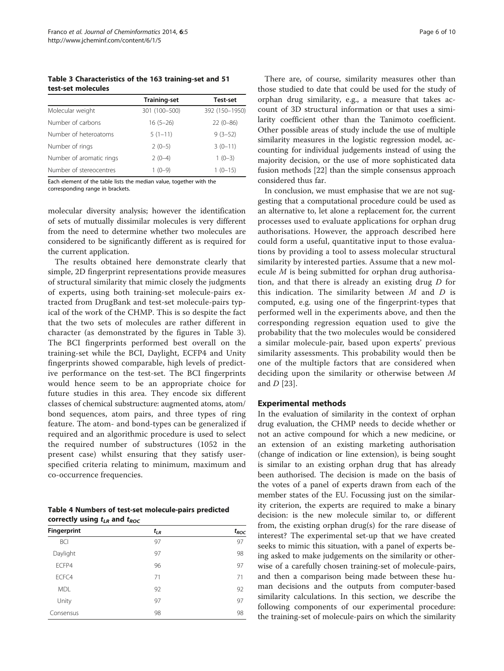<span id="page-5-0"></span>Table 3 Characteristics of the 163 training-set and 51 test-set molecules

|                          | <b>Training-set</b> | Test-set       |
|--------------------------|---------------------|----------------|
| Molecular weight         | 301 (100-500)       | 392 (150-1950) |
| Number of carbons        | $16(5-26)$          | $22(0-86)$     |
| Number of heteroatoms    | $5(1-11)$           | $9(3-52)$      |
| Number of rings          | $2(0-5)$            | $3(0-11)$      |
| Number of aromatic rings | $2(0-4)$            | $1(0-3)$       |
| Number of stereocentres  | $1(0-9)$            | $1(0-15)$      |

Each element of the table lists the median value, together with the corresponding range in brackets.

molecular diversity analysis; however the identification of sets of mutually dissimilar molecules is very different from the need to determine whether two molecules are considered to be significantly different as is required for the current application.

The results obtained here demonstrate clearly that simple, 2D fingerprint representations provide measures of structural similarity that mimic closely the judgments of experts, using both training-set molecule-pairs extracted from DrugBank and test-set molecule-pairs typical of the work of the CHMP. This is so despite the fact that the two sets of molecules are rather different in character (as demonstrated by the figures in Table 3). The BCI fingerprints performed best overall on the training-set while the BCI, Daylight, ECFP4 and Unity fingerprints showed comparable, high levels of predictive performance on the test-set. The BCI fingerprints would hence seem to be an appropriate choice for future studies in this area. They encode six different classes of chemical substructure: augmented atoms, atom/ bond sequences, atom pairs, and three types of ring feature. The atom- and bond-types can be generalized if required and an algorithmic procedure is used to select the required number of substructures (1052 in the present case) whilst ensuring that they satisfy userspecified criteria relating to minimum, maximum and co-occurrence frequencies.

Table 4 Numbers of test-set molecule-pairs predicted correctly using  $t_{LR}$  and  $t_{ROC}$ 

| Fingerprint | $t_{LR}$ | $t_{ROC}$ |
|-------------|----------|-----------|
| <b>BCI</b>  | 97       | 97        |
| Daylight    | 97       | 98        |
| ECFP4       | 96       | 97        |
| ECFC4       | 71       | 71        |
| <b>MDL</b>  | 92       | 92        |
| Unity       | 97       | 97        |
| Consensus   | 98       | 98        |

There are, of course, similarity measures other than those studied to date that could be used for the study of orphan drug similarity, e.g., a measure that takes account of 3D structural information or that uses a similarity coefficient other than the Tanimoto coefficient. Other possible areas of study include the use of multiple similarity measures in the logistic regression model, accounting for individual judgements instead of using the majority decision, or the use of more sophisticated data fusion methods [[22\]](#page-8-0) than the simple consensus approach considered thus far.

In conclusion, we must emphasise that we are not suggesting that a computational procedure could be used as an alternative to, let alone a replacement for, the current processes used to evaluate applications for orphan drug authorisations. However, the approach described here could form a useful, quantitative input to those evaluations by providing a tool to assess molecular structural similarity by interested parties. Assume that a new molecule M is being submitted for orphan drug authorisation, and that there is already an existing drug D for this indication. The similarity between  $M$  and  $D$  is computed, e.g. using one of the fingerprint-types that performed well in the experiments above, and then the corresponding regression equation used to give the probability that the two molecules would be considered a similar molecule-pair, based upon experts' previous similarity assessments. This probability would then be one of the multiple factors that are considered when deciding upon the similarity or otherwise between M and  $D$  [[23](#page-8-0)].

#### Experimental methods

In the evaluation of similarity in the context of orphan drug evaluation, the CHMP needs to decide whether or not an active compound for which a new medicine, or an extension of an existing marketing authorisation (change of indication or line extension), is being sought is similar to an existing orphan drug that has already been authorised. The decision is made on the basis of the votes of a panel of experts drawn from each of the member states of the EU. Focussing just on the similarity criterion, the experts are required to make a binary decision: is the new molecule similar to, or different from, the existing orphan drug(s) for the rare disease of interest? The experimental set-up that we have created seeks to mimic this situation, with a panel of experts being asked to make judgements on the similarity or otherwise of a carefully chosen training-set of molecule-pairs, and then a comparison being made between these human decisions and the outputs from computer-based similarity calculations. In this section, we describe the following components of our experimental procedure: the training-set of molecule-pairs on which the similarity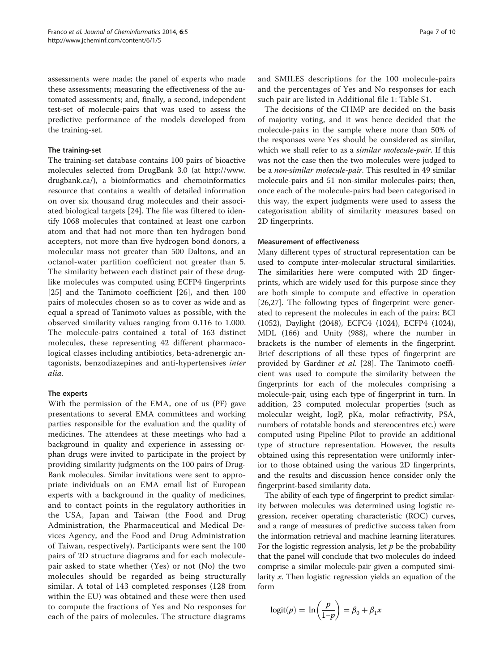assessments were made; the panel of experts who made these assessments; measuring the effectiveness of the automated assessments; and, finally, a second, independent test-set of molecule-pairs that was used to assess the predictive performance of the models developed from the training-set.

#### The training-set

The training-set database contains 100 pairs of bioactive molecules selected from DrugBank 3.0 (at [http://www.](http://www.drugbank.ca/) [drugbank.ca/\)](http://www.drugbank.ca/), a bioinformatics and chemoinformatics resource that contains a wealth of detailed information on over six thousand drug molecules and their associated biological targets [[24](#page-8-0)]. The file was filtered to identify 1068 molecules that contained at least one carbon atom and that had not more than ten hydrogen bond accepters, not more than five hydrogen bond donors, a molecular mass not greater than 500 Daltons, and an octanol-water partition coefficient not greater than 5. The similarity between each distinct pair of these druglike molecules was computed using ECFP4 fingerprints [[25](#page-8-0)] and the Tanimoto coefficient [[26\]](#page-8-0), and then 100 pairs of molecules chosen so as to cover as wide and as equal a spread of Tanimoto values as possible, with the observed similarity values ranging from 0.116 to 1.000. The molecule-pairs contained a total of 163 distinct molecules, these representing 42 different pharmacological classes including antibiotics, beta-adrenergic antagonists, benzodiazepines and anti-hypertensives inter alia.

#### The experts

With the permission of the EMA, one of us (PF) gave presentations to several EMA committees and working parties responsible for the evaluation and the quality of medicines. The attendees at these meetings who had a background in quality and experience in assessing orphan drugs were invited to participate in the project by providing similarity judgments on the 100 pairs of Drug-Bank molecules. Similar invitations were sent to appropriate individuals on an EMA email list of European experts with a background in the quality of medicines, and to contact points in the regulatory authorities in the USA, Japan and Taiwan (the Food and Drug Administration, the Pharmaceutical and Medical Devices Agency, and the Food and Drug Administration of Taiwan, respectively). Participants were sent the 100 pairs of 2D structure diagrams and for each moleculepair asked to state whether (Yes) or not (No) the two molecules should be regarded as being structurally similar. A total of 143 completed responses (128 from within the EU) was obtained and these were then used to compute the fractions of Yes and No responses for each of the pairs of molecules. The structure diagrams

and SMILES descriptions for the 100 molecule-pairs and the percentages of Yes and No responses for each such pair are listed in Additional file [1:](#page-8-0) Table S1.

The decisions of the CHMP are decided on the basis of majority voting, and it was hence decided that the molecule-pairs in the sample where more than 50% of the responses were Yes should be considered as similar, which we shall refer to as a *similar molecule-pair*. If this was not the case then the two molecules were judged to be a non-similar molecule-pair. This resulted in 49 similar molecule-pairs and 51 non-similar molecules-pairs; then, once each of the molecule-pairs had been categorised in this way, the expert judgments were used to assess the categorisation ability of similarity measures based on 2D fingerprints.

#### Measurement of effectiveness

Many different types of structural representation can be used to compute inter-molecular structural similarities. The similarities here were computed with 2D fingerprints, which are widely used for this purpose since they are both simple to compute and effective in operation [[26,27\]](#page-8-0). The following types of fingerprint were generated to represent the molecules in each of the pairs: BCI (1052), Daylight (2048), ECFC4 (1024), ECFP4 (1024), MDL (166) and Unity (988), where the number in brackets is the number of elements in the fingerprint. Brief descriptions of all these types of fingerprint are provided by Gardiner et al. [\[28](#page-8-0)]. The Tanimoto coefficient was used to compute the similarity between the fingerprints for each of the molecules comprising a molecule-pair, using each type of fingerprint in turn. In addition, 23 computed molecular properties (such as molecular weight, logP, pKa, molar refractivity, PSA, numbers of rotatable bonds and stereocentres etc.) were computed using Pipeline Pilot to provide an additional type of structure representation. However, the results obtained using this representation were uniformly inferior to those obtained using the various 2D fingerprints, and the results and discussion hence consider only the fingerprint-based similarity data.

The ability of each type of fingerprint to predict similarity between molecules was determined using logistic regression, receiver operating characteristic (ROC) curves, and a range of measures of predictive success taken from the information retrieval and machine learning literatures. For the logistic regression analysis, let  $p$  be the probability that the panel will conclude that two molecules do indeed comprise a similar molecule-pair given a computed similarity x. Then logistic regression yields an equation of the form

$$
logit(p) = \ln\left(\frac{p}{1-p}\right) = \beta_0 + \beta_1 x
$$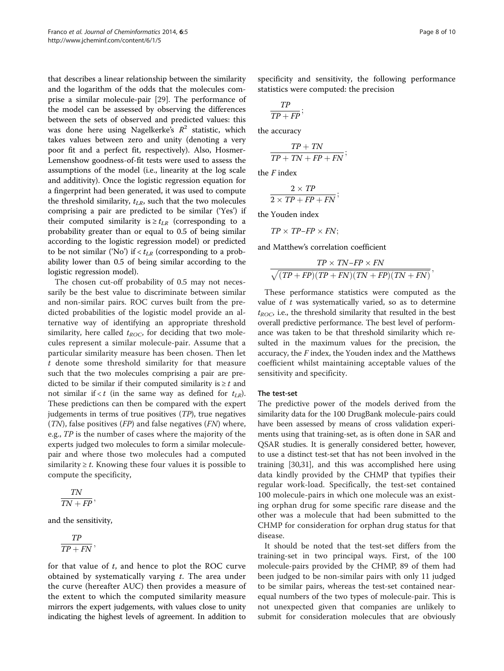that describes a linear relationship between the similarity and the logarithm of the odds that the molecules comprise a similar molecule-pair [\[29\]](#page-9-0). The performance of the model can be assessed by observing the differences between the sets of observed and predicted values: this was done here using Nagelkerke's  $R^2$  statistic, which takes values between zero and unity (denoting a very poor fit and a perfect fit, respectively). Also, Hosmer-Lemenshow goodness-of-fit tests were used to assess the assumptions of the model (i.e., linearity at the log scale and additivity). Once the logistic regression equation for a fingerprint had been generated, it was used to compute the threshold similarity,  $t_{LR}$ , such that the two molecules comprising a pair are predicted to be similar ('Yes') if their computed similarity is  $\geq t_{LR}$  (corresponding to a probability greater than or equal to 0.5 of being similar according to the logistic regression model) or predicted to be not similar ('No') if  $< t_{LR}$  (corresponding to a probability lower than 0.5 of being similar according to the logistic regression model).

The chosen cut-off probability of 0.5 may not necessarily be the best value to discriminate between similar and non-similar pairs. ROC curves built from the predicted probabilities of the logistic model provide an alternative way of identifying an appropriate threshold similarity, here called  $t_{ROC}$ , for deciding that two molecules represent a similar molecule-pair. Assume that a particular similarity measure has been chosen. Then let t denote some threshold similarity for that measure such that the two molecules comprising a pair are predicted to be similar if their computed similarity is  $\geq t$  and not similar if  $(in the same way as defined for  $t_{LR}$ ).$ These predictions can then be compared with the expert judgements in terms of true positives  $(TP)$ , true negatives  $(TN)$ , false positives  $(FP)$  and false negatives  $(FN)$  where, e.g., TP is the number of cases where the majority of the experts judged two molecules to form a similar moleculepair and where those two molecules had a computed similarity  $\geq t$ . Knowing these four values it is possible to compute the specificity,

$$
\frac{TN}{TN+FP},
$$

and the sensitivity,

$$
\frac{TP}{TP+FN},
$$

for that value of  $t$ , and hence to plot the ROC curve obtained by systematically varying  $t$ . The area under the curve (hereafter AUC) then provides a measure of the extent to which the computed similarity measure mirrors the expert judgements, with values close to unity indicating the highest levels of agreement. In addition to

specificity and sensitivity, the following performance statistics were computed: the precision

$$
\frac{TP}{TP + FP};
$$

the accuracy

$$
\frac{TP + TN}{TP + TN + FP + FN};
$$

the  $F$  index

$$
\frac{2 \times TP}{2 \times TP + FP + FN};
$$

the Youden index

 $TP \times TP$  -  $FP \times FN$ ;

and Matthew's correlation coefficient

$$
\frac{TP \times TN - FP \times FN}{\sqrt{(TP + FP)(TP + FN)(TN + FP)(TN + FN)}}
$$

These performance statistics were computed as the value of  $t$  was systematically varied, so as to determine  $t_{ROC}$ , i.e., the threshold similarity that resulted in the best overall predictive performance. The best level of performance was taken to be that threshold similarity which resulted in the maximum values for the precision, the accuracy, the  $F$  index, the Youden index and the Matthews coefficient whilst maintaining acceptable values of the sensitivity and specificity.

#### The test-set

The predictive power of the models derived from the similarity data for the 100 DrugBank molecule-pairs could have been assessed by means of cross validation experiments using that training-set, as is often done in SAR and QSAR studies. It is generally considered better, however, to use a distinct test-set that has not been involved in the training [\[30,31](#page-9-0)], and this was accomplished here using data kindly provided by the CHMP that typifies their regular work-load. Specifically, the test-set contained 100 molecule-pairs in which one molecule was an existing orphan drug for some specific rare disease and the other was a molecule that had been submitted to the CHMP for consideration for orphan drug status for that disease.

It should be noted that the test-set differs from the training-set in two principal ways. First, of the 100 molecule-pairs provided by the CHMP, 89 of them had been judged to be non-similar pairs with only 11 judged to be similar pairs, whereas the test-set contained nearequal numbers of the two types of molecule-pair. This is not unexpected given that companies are unlikely to submit for consideration molecules that are obviously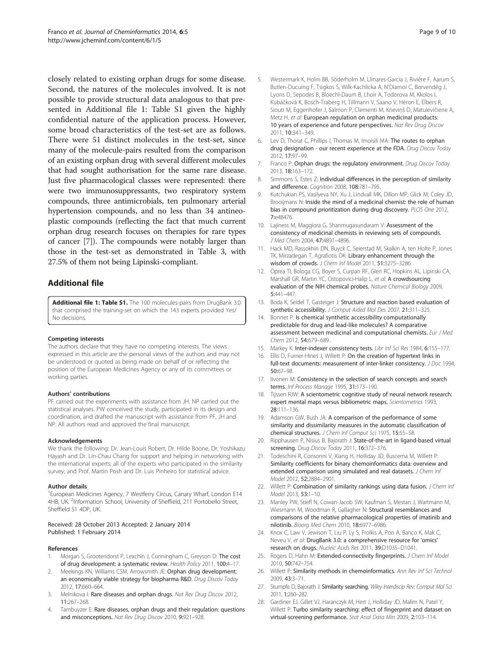<span id="page-8-0"></span>closely related to existing orphan drugs for some disease. Second, the natures of the molecules involved. It is not possible to provide structural data analogous to that presented in Additional file 1: Table S1 given the highly confidential nature of the application process. However, some broad characteristics of the test-set are as follows. There were 51 distinct molecules in the test-set, since many of the molecule-pairs resulted from the comparison of an existing orphan drug with several different molecules that had sought authorisation for the same rare disease. Just five pharmacological classes were represented: there were two immunosuppressants, two respiratory system compounds, three antimicrobials, ten pulmonary arterial hypertension compounds, and no less than 34 antineoplastic compounds (reflecting the fact that much current orphan drug research focuses on therapies for rare types of cancer [7]). The compounds were notably larger than those in the test-set as demonstrated in Table [3,](#page-5-0) with 27.5% of them not being Lipinski-compliant.

## Additional file

[Additional file 1: Table S1.](http://www.biomedcentral.com/content/supplementary/1758-2946-6-5-S1.ods) The 100 molecules-pairs from DrugBank 3.0 that comprised the training-set on which the 143 experts provided Yes/ No decisions.

#### Competing interests

The authors declare that they have no competing interests. The views expressed in this article are the personal views of the authors and may not be understood or quoted as being made on behalf of or reflecting the position of the European Medicines Agency or any of its committees or working parties.

#### Authors' contributions

PF carried out the experiments with assistance from JH. NP carried out the statistical analyses. PW conceived the study, participated in its design and coordination, and drafted the manuscript with assistance from PF, JH and NP. All authors read and approved the final manuscript.

#### Acknowledgements

We thank the following: Dr. Jean-Louis Robert, Dr. Hilde Boone, Dr. Yoshikazu Hayash and Dr. Lin-Chau Chang for support and helping in networking with the international experts; all of the experts who participated in the similarity survey; and Prof. Martin Posh and Dr. Luis Pinheiro for statistical advice.

#### Author details

<sup>1</sup> European Medicines Agency, 7 Westferry Circus, Canary Wharf, London E14 4HB, UK. <sup>2</sup>Information School, University of Sheffield, 211 Portobello Street, Sheffield S1 4DP, UK.

#### Received: 28 October 2013 Accepted: 2 January 2014 Published: 1 February 2014

#### References

- 1. Morgan S, Grootendorst P, Lexchin J, Cunningham C, Greyson D: The cost of drug development: a systematic review. Health Policy 2011, 100:4–17.
- 2. Meekings KN, Williams CSM, Arrowsmith JE: Orphan drug development: an economically viable strategy for biopharma R&D. Drug Discov Today 2012, 17:660–664.
- Melnikova I: Rare diseases and orphan drugs. Nat Rev Drug Discov 2012, 11:267–268.
- 4. Tambuyzer E: Rare diseases, orphan drugs and their regulation: questions and misconceptions. Nat Rev Drug Discov 2010, 9:921–928.
- 5. Westermark K, Holm BB, Söderholm M, Llinares-Garcia J, Rivière F, Aarum S, Butlen-Ducuing F, Tsigkos S, Wilk-Kachlicka A, N'Diamoi C, Borvendég J, Lyons D, Sepodes B, Bloechl-Daum B, Lhoir A, Todorova M, Kkolos I, Kubáčková K, Bosch-Traberg H, Tillmann V, Saano V, Héron E, Elbers R, Siouti M, Eggenhofer J, Salmon P, Clementi M, Krieviņš D, Matulevičiene A, Metz H, et al: European regulation on orphan medicinal products: 10 years of experience and future perspectives. Nat Rev Drug Discov 2011, 10:341–349.
- 6. Lev D, Thorat C, Phillips I, Thomas M, Imoisili MA: The routes to orphan drug designation - our recent experience at the FDA. Drug Discov Today 2012, 17:97–99.
- 7. Franco P: Orphan drugs: the regulatory environment. Drug Discov Today 2013, 18:163–172.
- 8. Simmons S, Estes Z: Individual differences in the perception of similarity and difference. Cognition 2008, 108:781–795.
- 9. Kutchukian PS, Vasilyeva NY, Xu J, Lindvall MK, Dillon MP, Glick M, Coley JD, Brooijmans N: Inside the mind of a medicinal chemist: the role of human bias in compound prioritization during drug discovery. PLOS One 2012, 7:e48476.
- 10. Lajiness M, Maggiora G, Shanmugasundaram V: Assessment of the consistency of medicinal chemists in reviewing sets of compounds. J Med Chem 2004, 47:4891–4896.
- 11. Hack MD, Rassokhin DN, Buyck C, Seierstad M, Skalkin A, ten Holte P, Jones TK, Mirzadegan T, Agrafiotis DK: Library enhancement through the wisdom of crowds. J Chem Inf Model 2011, 51:3275–3286.
- 12. Oprea TI, Bologa CG, Boyer S, Curpan RF, Glen RC, Hopkins AL, Lipinski CA, Marshall GR, Martin YC, Ostopovici-Halip L, et al: A crowdsourcing evaluation of the NIH chemical probes. Nature Chemical Biology 2009, 5:441–447.
- 13. Boda K, Seidel T, Gasteiger J: Structure and reaction based evaluation of synthetic accessibility. J Comput Aided Mol Des 2007, 21:311–325.
- 14. Bonnet P: Is chemical synthetic accessibility computationally predictable for drug and lead-like molecules? A comparative assessment between medicinal and computational chemists. Eur J Med Chem 2012, 54:679–689.
- 15. Markey K: Inter-indexer consistency tests. Libr Inf Sci Res 1984, 6:155-177.
- 16. Ellis D, Furner-Hines J, Willett P: On the creation of hypertext links in full-text documents: measurement of inter-linker consistency. J Doc 1994, 50:67–98.
- 17. livonen M: Consistency in the selection of search concepts and search terms. Inf Process Manage 1995, 31:173–190.
- 18. Tijssen RJW: A scientometric cognitive study of neural network research: expert mental maps versus bibliometric maps. Scientometrics 1993, 28:111–136.
- 19. Adamson GW, Bush JA: A comparison of the performance of some similarity and dissimilarity measures in the automatic classification of chemical structures. J Chem Inf Comput Sci 1975, 15:55–58.
- 20. Ripphausen P, Nisius B, Bajorath J: State-of-the-art in ligand-based virtual screening. Drug Discov Today 2011, 16:372-376.
- 21. Todeschini R, Consonni V, Xiang H, Holliday JD, Buscema M, Willett P: Similarity coefficients for binary chemoinformatics data: overview and extended comparison using simulated and real datasets. J Chem Inf Model 2012, 52:2884–2901.
- 22. Willett P: Combination of similarity rankings using data fusion. J Chem Inf Model 2013, 53:1–10.
- 23. Manley PW, Stiefl N, Cowan-Jacob SW, Kaufman S, Mestan J, Wartmann M, Wiesmann M, Woodman R, Gallagher N: Structural resemblances and comparisons of the relative pharmacological properties of imatinib and nilotinib. Bioorg Med Chem 2010, 18:6977–6986.
- 24. Knox C, Law V, Jewison T, Liu P, Ly S, Frolkis A, Pon A, Banco K, Mak C, Neveu V, et al: DrugBank 3.0: a comprehensive resource for 'omics' research on drugs. Nucleic Acids Res 2011, 39:D1035–D1041.
- 25. Rogers D, Hahn M: Extended-connectivity fingerprints. J Chem Inf Model 2010, 50:742–754.
- 26. Willett P: Similarity methods in chemoinformatics. Ann Rev Inf Sci Technol 2009, 43:3–71.
- 27. Stumpfe D, Bajorath J: Similarity searching. Wiley Interdiscip Rev: Comput Mol Sci 2011, 1:260–282.
- 28. Gardiner EJ, Gillet VJ, Haranczyk M, Hert J, Holliday JD, Malim N, Patel Y, Willett P: Turbo similarity searching: effect of fingerprint and dataset on virtual-screening performance. Stat Anal Data Min 2009, 2:103–114.